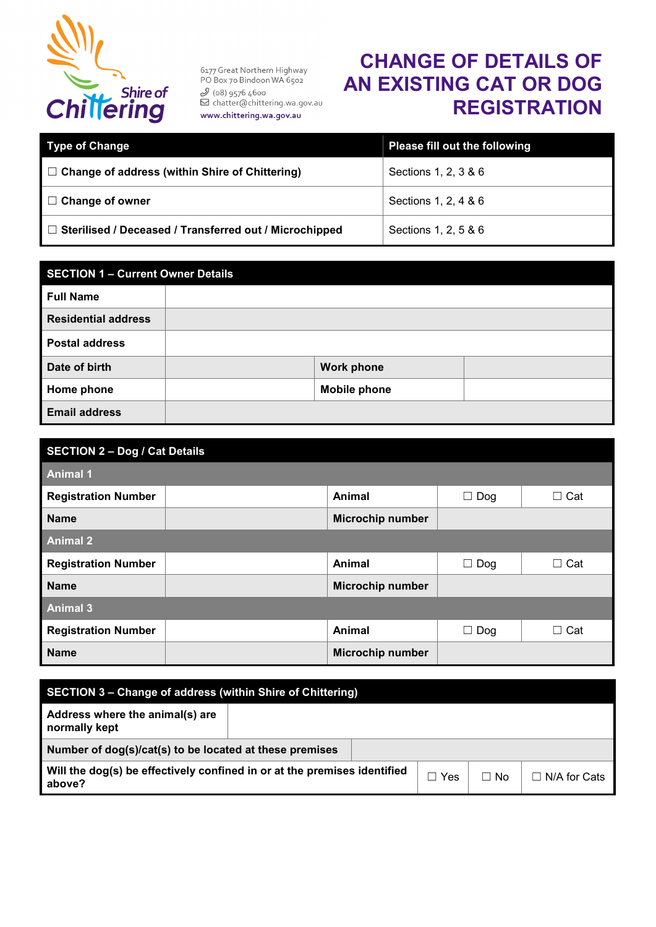

6177 Great Northern Highway PO Box 70 Bindoon WA 6502 9 (ο8) 9576 4600<br>
⊠ chatter@chittering.wa.gov.au www.chittering.wa.gov.au

## **CHANGE OF DETAILS OF AN EXISTING CAT OR DOG REGISTRATION**

| <b>Type of Change</b>                                         | Please fill out the following |
|---------------------------------------------------------------|-------------------------------|
| $\Box$ Change of address (within Shire of Chittering)         | Sections 1, 2, 3 & 6          |
| $\Box$ Change of owner                                        | Sections 1, 2, 4 & 6          |
| $\Box$ Sterilised / Deceased / Transferred out / Microchipped | Sections 1, 2, 5 & 6          |

| <b>SECTION 1 - Current Owner Details</b> |  |                     |  |  |  |
|------------------------------------------|--|---------------------|--|--|--|
| <b>Full Name</b>                         |  |                     |  |  |  |
| <b>Residential address</b>               |  |                     |  |  |  |
| <b>Postal address</b>                    |  |                     |  |  |  |
| Date of birth                            |  | <b>Work phone</b>   |  |  |  |
| Home phone                               |  | <b>Mobile phone</b> |  |  |  |
| <b>Email address</b>                     |  |                     |  |  |  |

| <b>SECTION 2 - Dog / Cat Details</b> |                         |            |            |  |  |  |
|--------------------------------------|-------------------------|------------|------------|--|--|--|
| <b>Animal 1</b>                      |                         |            |            |  |  |  |
| <b>Registration Number</b>           | Animal                  | $\Box$ Dog | $\Box$ Cat |  |  |  |
| <b>Name</b>                          | <b>Microchip number</b> |            |            |  |  |  |
| <b>Animal 2</b>                      |                         |            |            |  |  |  |
| <b>Registration Number</b>           | Animal                  | $\Box$ Dog | $\Box$ Cat |  |  |  |
| <b>Name</b>                          | <b>Microchip number</b> |            |            |  |  |  |
| <b>Animal 3</b>                      |                         |            |            |  |  |  |
| <b>Registration Number</b>           | Animal                  | $\Box$ Dog | $\Box$ Cat |  |  |  |
| <b>Name</b>                          | <b>Microchip number</b> |            |            |  |  |  |

| <b>SECTION 3 – Change of address (within Shire of Chittering)</b>                  |  |  |     |      |              |
|------------------------------------------------------------------------------------|--|--|-----|------|--------------|
| Address where the animal(s) are<br>normally kept                                   |  |  |     |      |              |
| Number of dog(s)/cat(s) to be located at these premises                            |  |  |     |      |              |
| Will the dog(s) be effectively confined in or at the premises identified<br>above? |  |  | Yes | ⊟ No | N/A for Cats |